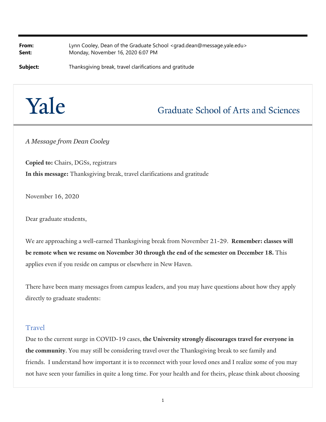**From:** Lynn Cooley, Dean of the Graduate School <grad.dean@message.yale.edu> **Sent:** Monday, November 16, 2020 6:07 PM

**Subject:** Thanksgiving break, travel clarifications and gratitude

# Yale

## **Graduate School of Arts and Sciences**

*A Message from Dean Cooley*

**Copied to:** Chairs, DGSs, registrars **In this message:** Thanksgiving break, travel clarifications and gratitude

November 16, 2020

Dear graduate students,

We are approaching a well-earned Thanksgiving break from November 21-29. **Remember: classes will be remote when we resume on November 30 through the end of the semester on December 18.** This applies even if you reside on campus or elsewhere in New Haven.

There have been many messages from campus leaders, and you may have questions about how they apply directly to graduate students:

#### Travel

Due to the current surge in COVID-19 cases, **the University strongly discourages travel for everyone in the community**. You may still be considering travel over the Thanksgiving break to see family and friends. I understand how important it is to reconnect with your loved ones and I realize some of you may not have seen your families in quite a long time. For your health and for theirs, please think about choosing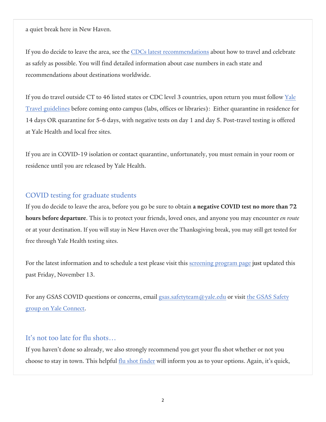a quiet break here in New Haven.

If you do decide to leave the area, see the CDCs latest recommendations about how to travel and celebrate as safely as possible. You will find detailed information about case numbers in each state and recommendations about destinations worldwide.

If you do travel outside CT to 46 listed states or CDC level 3 countries, upon return you must follow Yale Travel guidelines before coming onto campus (labs, offices or libraries): Either quarantine in residence for 14 days OR quarantine for 5-6 days, with negative tests on day 1 and day 5. Post-travel testing is offered at Yale Health and local free sites.

If you are in COVID-19 isolation or contact quarantine, unfortunately, you must remain in your room or residence until you are released by Yale Health.

### COVID testing for graduate students

If you do decide to leave the area, before you go be sure to obtain **a negative COVID test no more than 72 hours before departure**. This is to protect your friends, loved ones, and anyone you may encounter *en route* or at your destination. If you will stay in New Haven over the Thanksgiving break, you may still get tested for free through Yale Health testing sites.

For the latest information and to schedule a test please visit this screening program page just updated this past Friday, November 13.

For any GSAS COVID questions or concerns, email gsas.safetyteam@yale.edu or visit the GSAS Safety group on Yale Connect.

#### It's not too late for flu shots…

If you haven't done so already, we also strongly recommend you get your flu shot whether or not you choose to stay in town. This helpful flu shot finder will inform you as to your options. Again, it's quick,